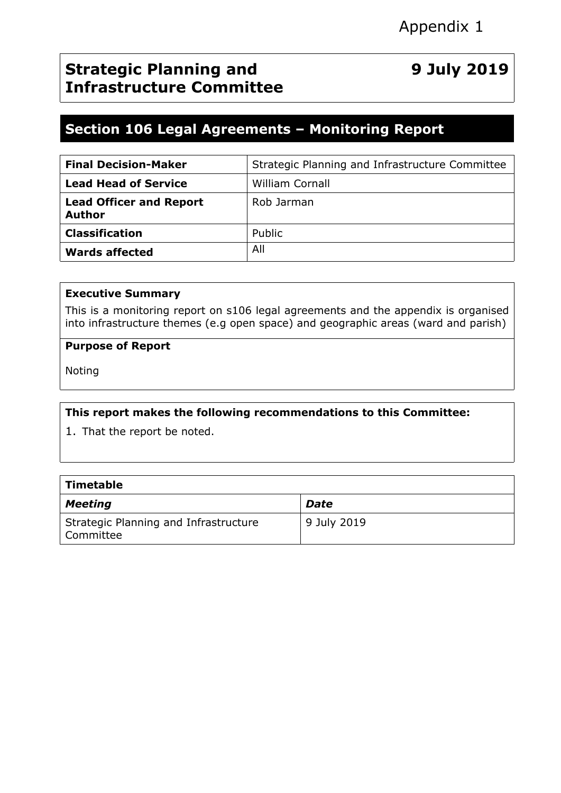## **Strategic Planning and Infrastructure Committee**

# **9 July 2019**

## **Section 106 Legal Agreements – Monitoring Report**

| <b>Final Decision-Maker</b>              | Strategic Planning and Infrastructure Committee |
|------------------------------------------|-------------------------------------------------|
| <b>Lead Head of Service</b>              | <b>William Cornall</b>                          |
| <b>Lead Officer and Report</b><br>Author | Rob Jarman                                      |
| <b>Classification</b>                    | Public                                          |
| Wards affected                           | All                                             |

#### **Executive Summary**

This is a monitoring report on s106 legal agreements and the appendix is organised into infrastructure themes (e.g open space) and geographic areas (ward and parish)

#### **Purpose of Report**

Noting

#### **This report makes the following recommendations to this Committee:**

1. That the report be noted.

| Timetable                                          |             |
|----------------------------------------------------|-------------|
| Meeting                                            | <b>Date</b> |
| Strategic Planning and Infrastructure<br>Committee | 9 July 2019 |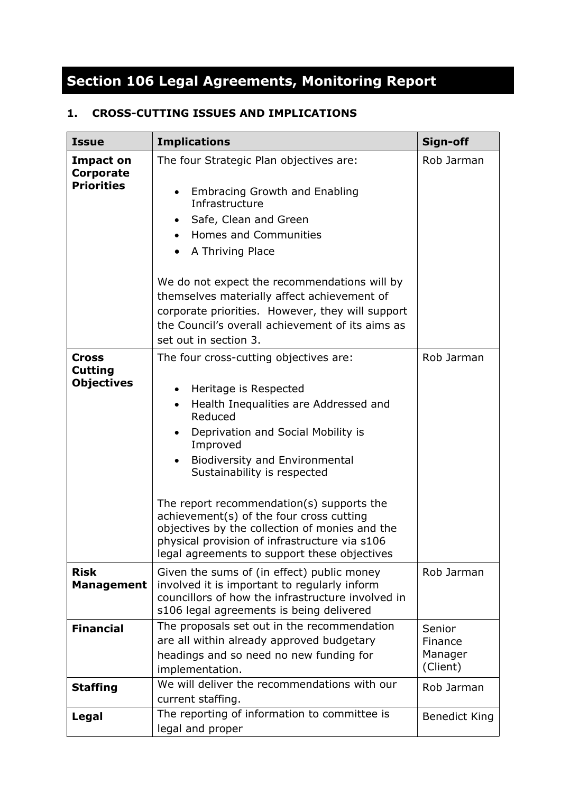# **Section 106 Legal Agreements, Monitoring Report**

### **1. CROSS-CUTTING ISSUES AND IMPLICATIONS**

| <b>Issue</b>                                        | <b>Implications</b>                                                                                                                                                                                                                                                                                                                                                                                                                                                                                                                           | Sign-off                                 |
|-----------------------------------------------------|-----------------------------------------------------------------------------------------------------------------------------------------------------------------------------------------------------------------------------------------------------------------------------------------------------------------------------------------------------------------------------------------------------------------------------------------------------------------------------------------------------------------------------------------------|------------------------------------------|
| <b>Impact on</b><br>Corporate<br><b>Priorities</b>  | The four Strategic Plan objectives are:<br>Embracing Growth and Enabling<br>Infrastructure<br>Safe, Clean and Green<br>$\bullet$<br><b>Homes and Communities</b><br>$\bullet$<br>A Thriving Place<br>We do not expect the recommendations will by<br>themselves materially affect achievement of<br>corporate priorities. However, they will support<br>the Council's overall achievement of its aims as<br>set out in section 3.                                                                                                             | Rob Jarman                               |
| <b>Cross</b><br><b>Cutting</b><br><b>Objectives</b> | The four cross-cutting objectives are:<br>Heritage is Respected<br>$\bullet$<br>Health Inequalities are Addressed and<br>$\bullet$<br>Reduced<br>Deprivation and Social Mobility is<br>$\bullet$<br>Improved<br><b>Biodiversity and Environmental</b><br>$\bullet$<br>Sustainability is respected<br>The report recommendation(s) supports the<br>achievement(s) of the four cross cutting<br>objectives by the collection of monies and the<br>physical provision of infrastructure via s106<br>legal agreements to support these objectives | Rob Jarman                               |
| <b>Risk</b><br><b>Management</b>                    | Given the sums of (in effect) public money<br>involved it is important to regularly inform<br>councillors of how the infrastructure involved in<br>s106 legal agreements is being delivered                                                                                                                                                                                                                                                                                                                                                   | Rob Jarman                               |
| <b>Financial</b>                                    | The proposals set out in the recommendation<br>are all within already approved budgetary<br>headings and so need no new funding for<br>implementation.                                                                                                                                                                                                                                                                                                                                                                                        | Senior<br>Finance<br>Manager<br>(Client) |
| <b>Staffing</b>                                     | We will deliver the recommendations with our<br>current staffing.                                                                                                                                                                                                                                                                                                                                                                                                                                                                             | Rob Jarman                               |
| Legal                                               | The reporting of information to committee is<br>legal and proper                                                                                                                                                                                                                                                                                                                                                                                                                                                                              | <b>Benedict King</b>                     |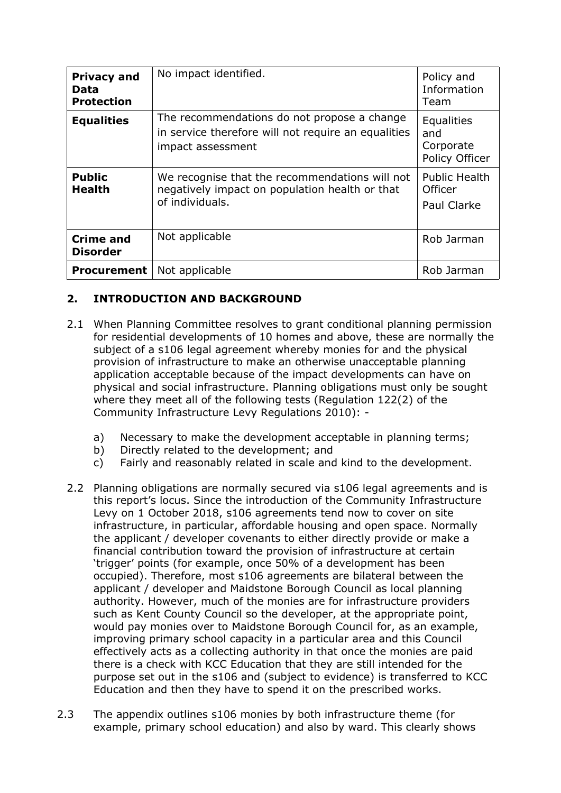| <b>Privacy and</b><br>Data<br><b>Protection</b> | No impact identified.                                                                                                   | Policy and<br>Information<br>Team                     |
|-------------------------------------------------|-------------------------------------------------------------------------------------------------------------------------|-------------------------------------------------------|
| <b>Equalities</b>                               | The recommendations do not propose a change<br>in service therefore will not require an equalities<br>impact assessment | Equalities<br>and<br>Corporate<br>Policy Officer      |
| <b>Public</b><br><b>Health</b>                  | We recognise that the recommendations will not<br>negatively impact on population health or that<br>of individuals.     | <b>Public Health</b><br>Officer<br><b>Paul Clarke</b> |
| <b>Crime and</b><br><b>Disorder</b>             | Not applicable                                                                                                          | Rob Jarman                                            |
| <b>Procurement</b>                              | Not applicable                                                                                                          | Rob Jarman                                            |

#### **2. INTRODUCTION AND BACKGROUND**

- 2.1 When Planning Committee resolves to grant conditional planning permission for residential developments of 10 homes and above, these are normally the subject of a s106 legal agreement whereby monies for and the physical provision of infrastructure to make an otherwise unacceptable planning application acceptable because of the impact developments can have on physical and social infrastructure. Planning obligations must only be sought where they meet all of the following tests (Regulation 122(2) of the Community Infrastructure Levy Regulations 2010):
	- a) Necessary to make the development acceptable in planning terms;
	- b) Directly related to the development; and
	- c) Fairly and reasonably related in scale and kind to the development.
- 2.2 Planning obligations are normally secured via s106 legal agreements and is this report's locus. Since the introduction of the Community Infrastructure Levy on 1 October 2018, s106 agreements tend now to cover on site infrastructure, in particular, affordable housing and open space. Normally the applicant / developer covenants to either directly provide or make a financial contribution toward the provision of infrastructure at certain 'trigger' points (for example, once 50% of a development has been occupied). Therefore, most s106 agreements are bilateral between the applicant / developer and Maidstone Borough Council as local planning authority. However, much of the monies are for infrastructure providers such as Kent County Council so the developer, at the appropriate point, would pay monies over to Maidstone Borough Council for, as an example, improving primary school capacity in a particular area and this Council effectively acts as a collecting authority in that once the monies are paid there is a check with KCC Education that they are still intended for the purpose set out in the s106 and (subject to evidence) is transferred to KCC Education and then they have to spend it on the prescribed works.
- 2.3 The appendix outlines s106 monies by both infrastructure theme (for example, primary school education) and also by ward. This clearly shows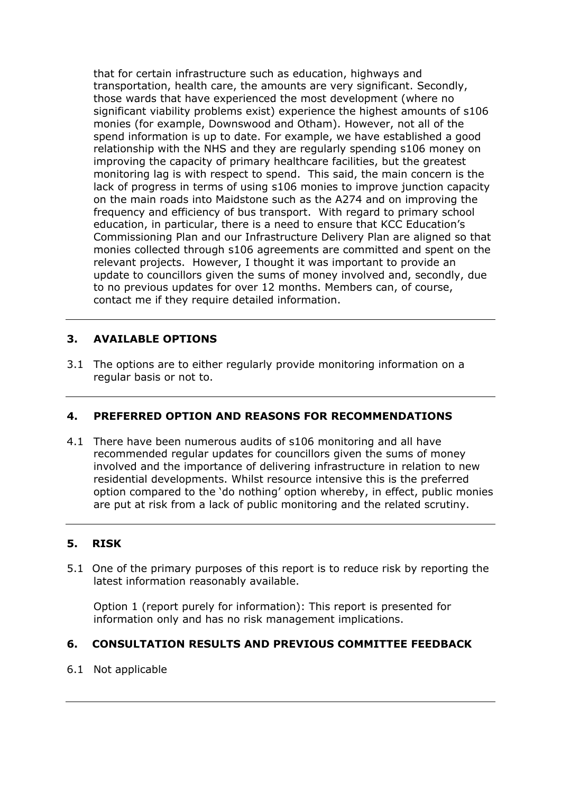that for certain infrastructure such as education, highways and transportation, health care, the amounts are very significant. Secondly, those wards that have experienced the most development (where no significant viability problems exist) experience the highest amounts of s106 monies (for example, Downswood and Otham). However, not all of the spend information is up to date. For example, we have established a good relationship with the NHS and they are regularly spending s106 money on improving the capacity of primary healthcare facilities, but the greatest monitoring lag is with respect to spend. This said, the main concern is the lack of progress in terms of using s106 monies to improve junction capacity on the main roads into Maidstone such as the A274 and on improving the frequency and efficiency of bus transport. With regard to primary school education, in particular, there is a need to ensure that KCC Education's Commissioning Plan and our Infrastructure Delivery Plan are aligned so that monies collected through s106 agreements are committed and spent on the relevant projects. However, I thought it was important to provide an update to councillors given the sums of money involved and, secondly, due to no previous updates for over 12 months. Members can, of course, contact me if they require detailed information.

#### **3. AVAILABLE OPTIONS**

3.1 The options are to either regularly provide monitoring information on a regular basis or not to.

#### **4. PREFERRED OPTION AND REASONS FOR RECOMMENDATIONS**

4.1 There have been numerous audits of s106 monitoring and all have recommended regular updates for councillors given the sums of money involved and the importance of delivering infrastructure in relation to new residential developments. Whilst resource intensive this is the preferred option compared to the 'do nothing' option whereby, in effect, public monies are put at risk from a lack of public monitoring and the related scrutiny.

#### **5. RISK**

5.1 One of the primary purposes of this report is to reduce risk by reporting the latest information reasonably available.

Option 1 (report purely for information): This report is presented for information only and has no risk management implications.

#### **6. CONSULTATION RESULTS AND PREVIOUS COMMITTEE FEEDBACK**

#### 6.1 Not applicable